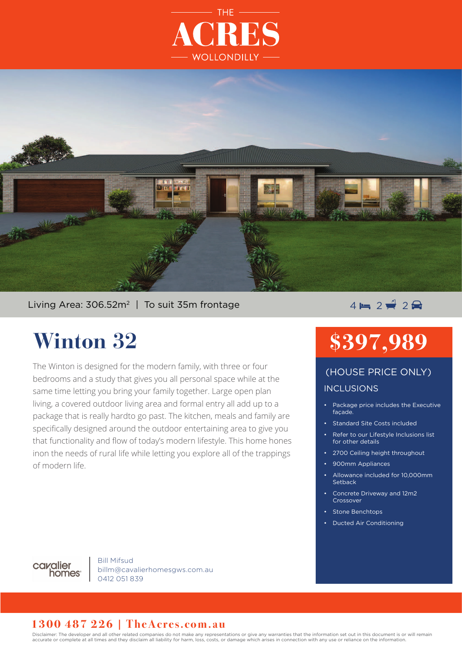



### Living Area:  $306.52m^2$  | To suit 35m frontage  $4 = 2 + 2 + 2$

## **Winton 32**

The Winton is designed for the modern family, with three or four bedrooms and a study that gives you all personal space while at the same time letting you bring your family together. Large open plan living, a covered outdoor living area and formal entry all add up to a package that is really hardto go past. The kitchen, meals and family are specifically designed around the outdoor entertaining area to give you that functionality and flow of today's modern lifestyle. This home hones inon the needs of rural life while letting you explore all of the trappings of modern life.

# **\$397,989**

### INCLUSIONS (HOUSE PRICE ONLY)

- Package price includes the Executive façade.
- Standard Site Costs included
- Refer to our Lifestyle Inclusions list for other details
- 2700 Ceiling height throughout
- 900mm Appliances
- Allowance included for 10,000mm **Setback**
- Concrete Driveway and 12m2 Crossover
- Stone Benchtops
- Ducted Air Conditioning



Bill Mifsud billm@cavalierhomesgws.com.au 0412 051 839

#### **1300 487 226 | TheAcres.com.au**

Disclaimer: The developer and all other related companies do not make any representations or give any warranties that the information set out in this document is or will remain accurate or complete at all times and they disclaim all liability for harm, loss, costs, or damage which arises in connection with any use or reliance on the information.